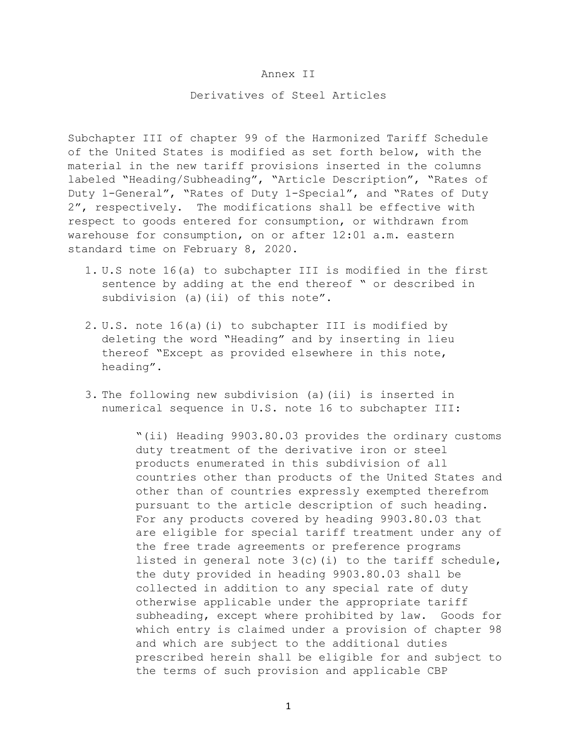## Annex II

## Derivatives of Steel Articles

Subchapter III of chapter 99 of the Harmonized Tariff Schedule of the United States is modified as set forth below, with the material in the new tariff provisions inserted in the columns labeled "Heading/Subheading", "Article Description", "Rates of Duty 1-General", "Rates of Duty 1-Special", and "Rates of Duty 2", respectively. The modifications shall be effective with respect to goods entered for consumption, or withdrawn from warehouse for consumption, on or after 12:01 a.m. eastern standard time on February 8, 2020.

- 1. U.S note 16(a) to subchapter III is modified in the first sentence by adding at the end thereof " or described in subdivision (a)(ii) of this note".
- 2. U.S. note 16(a)(i) to subchapter III is modified by deleting the word "Heading" and by inserting in lieu thereof "Except as provided elsewhere in this note, heading".
- 3. The following new subdivision (a)(ii) is inserted in numerical sequence in U.S. note 16 to subchapter III:

"(ii) Heading 9903.80.03 provides the ordinary customs duty treatment of the derivative iron or steel products enumerated in this subdivision of all countries other than products of the United States and other than of countries expressly exempted therefrom pursuant to the article description of such heading. For any products covered by heading 9903.80.03 that are eligible for special tariff treatment under any of the free trade agreements or preference programs listed in general note  $3(c)$  (i) to the tariff schedule, the duty provided in heading 9903.80.03 shall be collected in addition to any special rate of duty otherwise applicable under the appropriate tariff subheading, except where prohibited by law. Goods for which entry is claimed under a provision of chapter 98 and which are subject to the additional duties prescribed herein shall be eligible for and subject to the terms of such provision and applicable CBP

1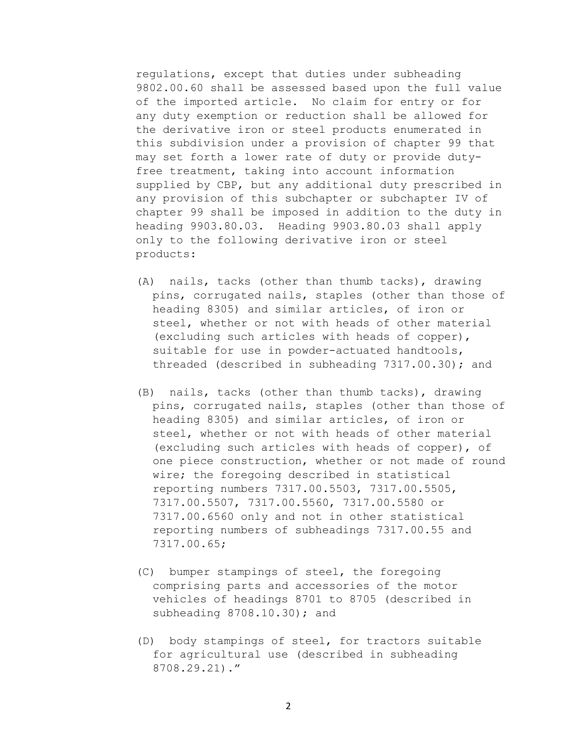regulations, except that duties under subheading 9802.00.60 shall be assessed based upon the full value of the imported article. No claim for entry or for any duty exemption or reduction shall be allowed for the derivative iron or steel products enumerated in this subdivision under a provision of chapter 99 that may set forth a lower rate of duty or provide dutyfree treatment, taking into account information supplied by CBP, but any additional duty prescribed in any provision of this subchapter or subchapter IV of chapter 99 shall be imposed in addition to the duty in heading 9903.80.03. Heading 9903.80.03 shall apply only to the following derivative iron or steel products:

- (A) nails, tacks (other than thumb tacks), drawing pins, corrugated nails, staples (other than those of heading 8305) and similar articles, of iron or steel, whether or not with heads of other material (excluding such articles with heads of copper), suitable for use in powder-actuated handtools, threaded (described in subheading 7317.00.30); and
- (B) nails, tacks (other than thumb tacks), drawing pins, corrugated nails, staples (other than those of heading 8305) and similar articles, of iron or steel, whether or not with heads of other material (excluding such articles with heads of copper), of one piece construction, whether or not made of round wire; the foregoing described in statistical reporting numbers 7317.00.5503, 7317.00.5505, 7317.00.5507, 7317.00.5560, 7317.00.5580 or 7317.00.6560 only and not in other statistical reporting numbers of subheadings 7317.00.55 and 7317.00.65;
- (C) bumper stampings of steel, the foregoing comprising parts and accessories of the motor vehicles of headings 8701 to 8705 (described in subheading 8708.10.30); and
- (D) body stampings of steel, for tractors suitable for agricultural use (described in subheading 8708.29.21)."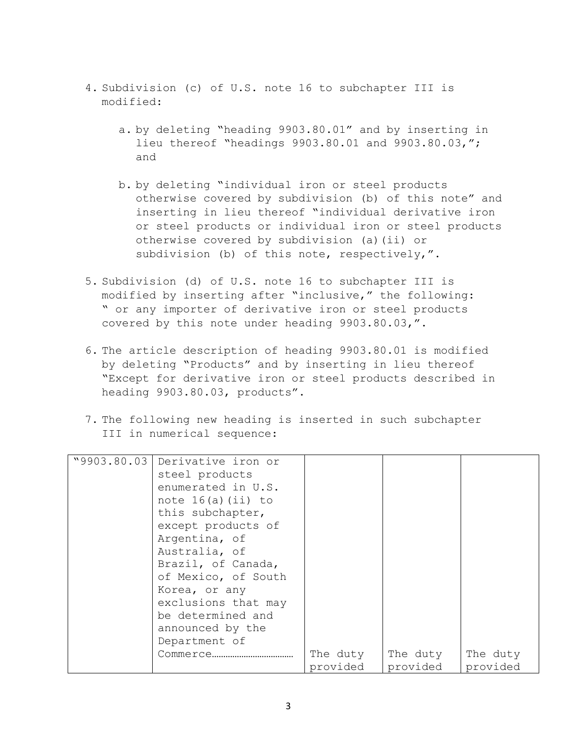- 4. Subdivision (c) of U.S. note 16 to subchapter III is modified:
	- a. by deleting "heading 9903.80.01" and by inserting in lieu thereof "headings 9903.80.01 and 9903.80.03,"; and
	- b. by deleting "individual iron or steel products otherwise covered by subdivision (b) of this note" and inserting in lieu thereof "individual derivative iron or steel products or individual iron or steel products otherwise covered by subdivision (a)(ii) or subdivision (b) of this note, respectively,".
- 5. Subdivision (d) of U.S. note 16 to subchapter III is modified by inserting after "inclusive," the following: " or any importer of derivative iron or steel products covered by this note under heading 9903.80.03,".
- 6. The article description of heading 9903.80.01 is modified by deleting "Products" and by inserting in lieu thereof "Except for derivative iron or steel products described in heading 9903.80.03, products".
- 7. The following new heading is inserted in such subchapter III in numerical sequence:

| "9903.80.03 Derivative iron or |          |          |          |
|--------------------------------|----------|----------|----------|
| steel products                 |          |          |          |
| enumerated in U.S.             |          |          |          |
| note $16(a)$ (ii) to           |          |          |          |
| this subchapter,               |          |          |          |
| except products of             |          |          |          |
| Argentina, of                  |          |          |          |
| Australia, of                  |          |          |          |
| Brazil, of Canada,             |          |          |          |
| of Mexico, of South            |          |          |          |
| Korea, or any                  |          |          |          |
| exclusions that may            |          |          |          |
| be determined and              |          |          |          |
| announced by the               |          |          |          |
| Department of                  |          |          |          |
| Commerce                       | The duty | The duty | The duty |
|                                | provided | provided | provided |